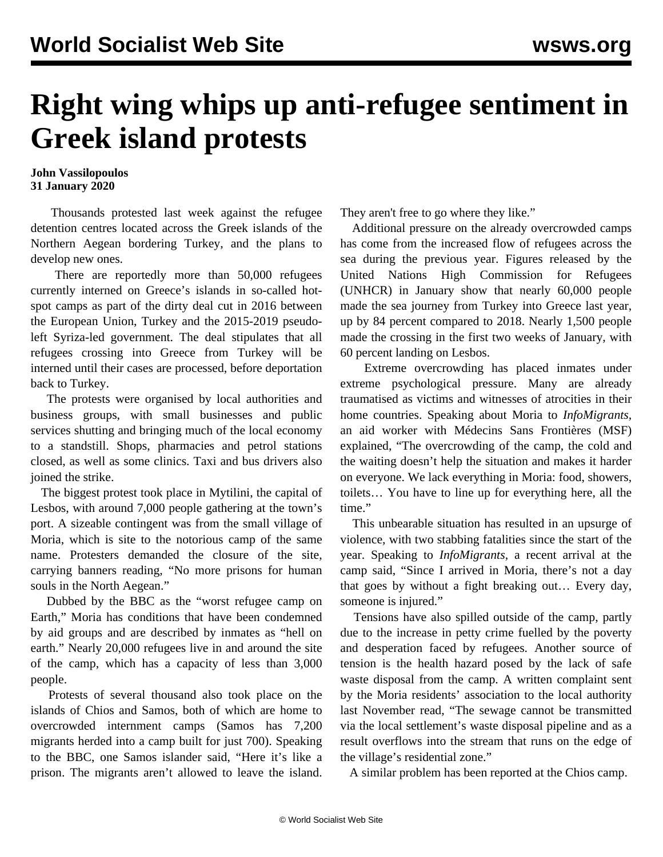## **Right wing whips up anti-refugee sentiment in Greek island protests**

## **John Vassilopoulos 31 January 2020**

 Thousands protested last week against the refugee detention centres located across the Greek islands of the Northern Aegean bordering Turkey, and the plans to develop new ones.

 There are reportedly more than 50,000 refugees currently interned on Greece's islands in so-called hotspot camps as part of the dirty deal cut in 2016 between the European Union, Turkey and the 2015-2019 pseudoleft Syriza-led government. The deal stipulates that all refugees crossing into Greece from Turkey will be interned until their cases are processed, before deportation back to Turkey.

 The protests were organised by local authorities and business groups, with small businesses and public services shutting and bringing much of the local economy to a standstill. Shops, pharmacies and petrol stations closed, as well as some clinics. Taxi and bus drivers also joined the strike.

 The biggest protest took place in Mytilini, the capital of Lesbos, with around 7,000 people gathering at the town's port. A sizeable contingent was from the small village of [Moria](https://www.wsws.org), which is site to the notorious camp of the same name. Protesters demanded the closure of the site, carrying banners reading, "No more prisons for human souls in the North Aegean."

 Dubbed by the BBC as the "worst refugee camp on Earth," Moria has conditions that have been condemned by aid groups and are described by inmates as "hell on earth." Nearly 20,000 refugees live in and around the site of the camp, which has a capacity of less than 3,000 people.

 Protests of several thousand also took place on the islands of Chios and Samos, both of which are home to overcrowded internment camps (Samos has 7,200 migrants herded into a camp built for just 700). Speaking to the BBC, one Samos islander said, "Here it's like a prison. The migrants aren't allowed to leave the island. They aren't free to go where they like."

 Additional pressure on the already overcrowded camps has come from the increased flow of refugees across the sea during the previous year. Figures released by the United Nations High Commission for Refugees (UNHCR) in January show that nearly 60,000 people made the sea journey from Turkey into Greece last year, up by 84 percent compared to 2018. Nearly 1,500 people made the crossing in the first two weeks of January, with 60 percent landing on Lesbos.

 Extreme overcrowding has placed inmates under extreme psychological pressure. Many are already traumatised as victims and witnesses of atrocities in their home countries. Speaking about Moria to *InfoMigrants,* an aid worker with Médecins Sans Frontières (MSF) explained, "The overcrowding of the camp, the cold and the waiting doesn't help the situation and makes it harder on everyone. We lack everything in Moria: food, showers, toilets… You have to line up for everything here, all the time."

 This unbearable situation has resulted in an upsurge of violence, with two stabbing fatalities since the start of the year. Speaking to *InfoMigrants*, a recent arrival at the camp said, "Since I arrived in Moria, there's not a day that goes by without a fight breaking out… Every day, someone is injured."

 Tensions have also spilled outside of the camp, partly due to the increase in petty crime fuelled by the poverty and desperation faced by refugees. Another source of tension is the health hazard posed by the lack of safe waste disposal from the camp. A written complaint sent by the Moria residents' association to the local authority last November read, "The sewage cannot be transmitted via the local settlement's waste disposal pipeline and as a result overflows into the stream that runs on the edge of the village's residential zone."

A similar problem has been reported at the Chios camp.